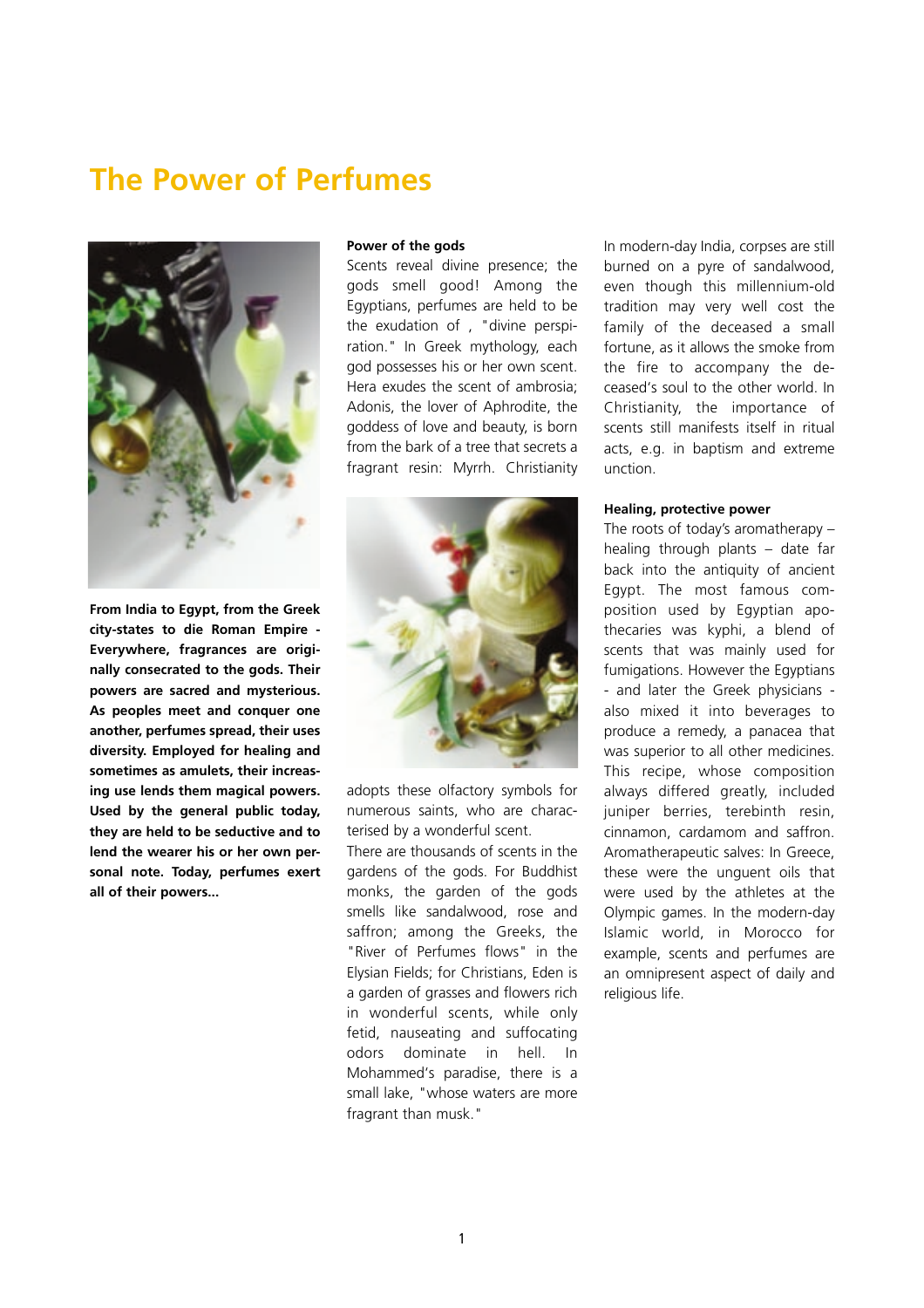# **The Power of Perfumes**



**From India to Egypt, from the Greek city-states to die Roman Empire - Everywhere, fragrances are originally consecrated to the gods. Their powers are sacred and mysterious. As peoples meet and conquer one another, perfumes spread, their uses diversity. Employed for healing and sometimes as amulets, their increasing use lends them magical powers. Used by the general public today, they are held to be seductive and to lend the wearer his or her own personal note. Today, perfumes exert all of their powers...**

## **Power of the gods**

Scents reveal divine presence; the gods smell good! Among the Egyptians, perfumes are held to be the exudation of , "divine perspiration." In Greek mythology, each god possesses his or her own scent. Hera exudes the scent of ambrosia; Adonis, the lover of Aphrodite, the goddess of love and beauty, is born from the bark of a tree that secrets a fragrant resin: Myrrh. Christianity



adopts these olfactory symbols for numerous saints, who are characterised by a wonderful scent.

There are thousands of scents in the gardens of the gods. For Buddhist monks, the garden of the gods smells like sandalwood, rose and saffron; among the Greeks, the "River of Perfumes flows" in the Elysian Fields; for Christians, Eden is a garden of grasses and flowers rich in wonderful scents, while only fetid, nauseating and suffocating odors dominate in hell. In Mohammed's paradise, there is a small lake, "whose waters are more fragrant than musk."

In modern-day India, corpses are still burned on a pyre of sandalwood, even though this millennium-old tradition may very well cost the family of the deceased a small fortune, as it allows the smoke from the fire to accompany the deceased's soul to the other world. In Christianity, the importance of scents still manifests itself in ritual acts, e.g. in baptism and extreme unction.

#### **Healing, protective power**

The roots of today's aromatherapy – healing through plants – date far back into the antiquity of ancient Egypt. The most famous composition used by Egyptian apothecaries was kyphi, a blend of scents that was mainly used for fumigations. However the Egyptians - and later the Greek physicians also mixed it into beverages to produce a remedy, a panacea that was superior to all other medicines. This recipe, whose composition always differed greatly, included juniper berries, terebinth resin, cinnamon, cardamom and saffron. Aromatherapeutic salves: In Greece, these were the unguent oils that were used by the athletes at the Olympic games. In the modern-day Islamic world, in Morocco for example, scents and perfumes are an omnipresent aspect of daily and religious life.